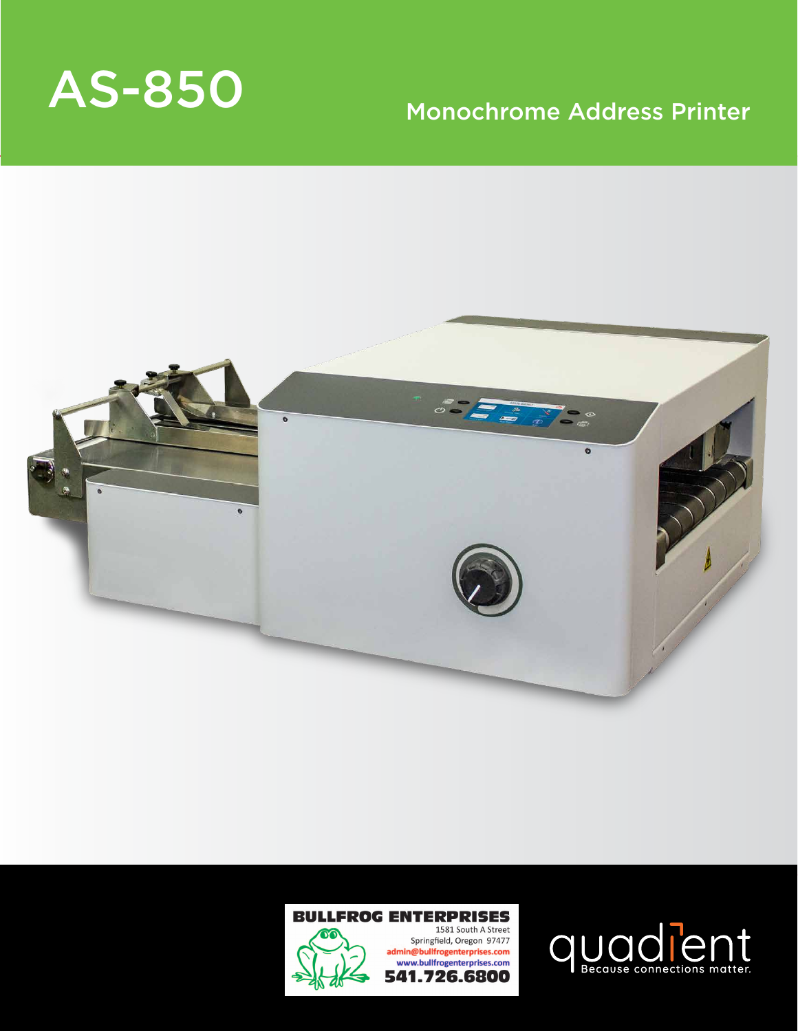